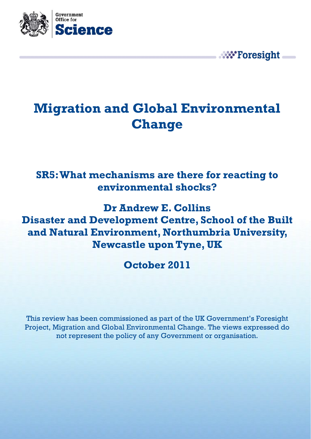

# **Migration and Global Environmental Change**

**W** Foresight

### **SR5: What mechanisms are there for reacting to environmental shocks?**

**Dr Andrew E. Collins Disaster and Development Centre, School of the Built and Natural Environment, Northumbria University, Newcastle upon Tyne, UK** 

**October 2011** 

This review has been commissioned as part of the UK Government's Foresight Project, Migration and Global Environmental Change. The views expressed do not represent the policy of any Government or organisation.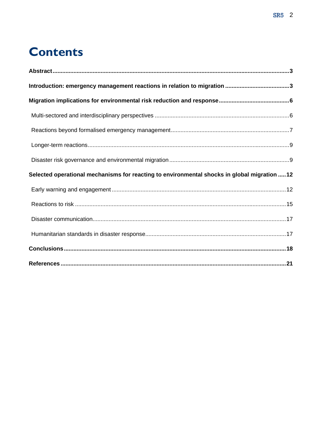# **Contents**

| Selected operational mechanisms for reacting to environmental shocks in global migration  12 |  |
|----------------------------------------------------------------------------------------------|--|
|                                                                                              |  |
|                                                                                              |  |
|                                                                                              |  |
|                                                                                              |  |
|                                                                                              |  |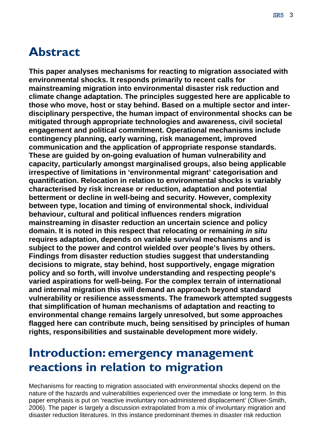## <span id="page-2-0"></span>**Abstract**

**This paper analyses mechanisms for reacting to migration associated with environmental shocks. It responds primarily to recent calls for mainstreaming migration into environmental disaster risk reduction and climate change adaptation. The principles suggested here are applicable to those who move, host or stay behind. Based on a multiple sector and interdisciplinary perspective, the human impact of environmental shocks can be mitigated through appropriate technologies and awareness, civil societal engagement and political commitment. Operational mechanisms include contingency planning, early warning, risk management, improved communication and the application of appropriate response standards. These are guided by on-going evaluation of human vulnerability and capacity, particularly amongst marginalised groups, also being applicable irrespective of limitations in 'environmental migrant' categorisation and quantification. Relocation in relation to environmental shocks is variably characterised by risk increase or reduction, adaptation and potential betterment or decline in well-being and security. However, complexity between type, location and timing of environmental shock, individual behaviour, cultural and political influences renders migration mainstreaming in disaster reduction an uncertain science and policy domain. It is noted in this respect that relocating or remaining** *in situ* **requires adaptation, depends on variable survival mechanisms and is subject to the power and control wielded over people's lives by others. Findings from disaster reduction studies suggest that understanding decisions to migrate, stay behind, host supportively, engage migration policy and so forth, will involve understanding and respecting people's varied aspirations for well-being. For the complex terrain of international and internal migration this will demand an approach beyond standard vulnerability or resilience assessments. The framework attempted suggests that simplification of human mechanisms of adaptation and reacting to environmental change remains largely unresolved, but some approaches flagged here can contribute much, being sensitised by principles of human rights, responsibilities and sustainable development more widely.** 

# **Introduction: emergency management reactions in relation to migration**

Mechanisms for reacting to migration associated with environmental shocks depend on the nature of the hazards and vulnerabilities experienced over the immediate or long term. In this paper emphasis is put on 'reactive involuntary non-administered displacement' (Oliver-Smith, 2006). The paper is largely a discussion extrapolated from a mix of involuntary migration and disaster reduction literatures. In this instance predominant themes in disaster risk reduction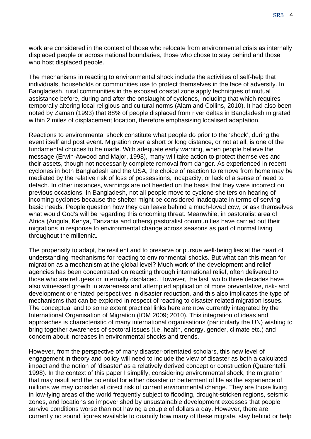work are considered in the context of those who relocate from environmental crisis as internally displaced people or across national boundaries, those who chose to stay behind and those who host displaced people.

The mechanisms in reacting to environmental shock include the activities of self-help that individuals, households or communities use to protect themselves in the face of adversity. In Bangladesh, rural communities in the exposed coastal zone apply techniques of mutual assistance before, during and after the onslaught of cyclones, including that which requires temporally altering local religious and cultural norms (Alam and Collins, 2010). It had also been noted by Zaman (1993) that 88% of people displaced from river deltas in Bangladesh migrated within 2 miles of displacement location, therefore emphasising localised adaptation.

Reactions to environmental shock constitute what people do prior to the 'shock', during the event itself and post event. Migration over a short or long distance, or not at all, is one of the fundamental choices to be made. With adequate early warning, when people believe the message (Erwin-Atwood and Major, 1998), many will take action to protect themselves and their assets, though not necessarily complete removal from danger. As experienced in recent cyclones in both Bangladesh and the USA, the choice of reaction to remove from home may be mediated by the relative risk of loss of possessions, incapacity, or lack of a sense of need to detach. In other instances, warnings are not heeded on the basis that they were incorrect on previous occasions. In Bangladesh, not all people move to cyclone shelters on hearing of incoming cyclones because the shelter might be considered inadequate in terms of serving basic needs. People question how they can leave behind a much-loved cow, or ask themselves what would God's will be regarding this oncoming threat. Meanwhile, in pastoralist area of Africa (Angola, Kenya, Tanzania and others) pastoralist communities have carried out their migrations in response to environmental change across seasons as part of normal living throughout the millennia.

The propensity to adapt, be resilient and to preserve or pursue well-being lies at the heart of understanding mechanisms for reacting to environmental shocks. But what can this mean for migration as a mechanism at the global level? Much work of the development and relief agencies has been concentrated on reacting through international relief, often delivered to those who are refugees or internally displaced. However, the last two to three decades have also witnessed growth in awareness and attempted application of more preventative, risk- and development-orientated perspectives in disaster reduction, and this also implicates the type of mechanisms that can be explored in respect of reacting to disaster related migration issues. The conceptual and to some extent practical links here are now currently integrated by the International Organisation of Migration (IOM 2009; 2010). This integration of ideas and approaches is characteristic of many international organisations (particularly the UN) wishing to bring together awareness of sectoral issues (i.e. health, energy, gender, climate etc.) and concern about increases in environmental shocks and trends.

However, from the perspective of many disaster-orientated scholars, this new level of engagement in theory and policy will need to include the view of disaster as both a calculated impact and the notion of 'disaster' as a relatively derived concept or construction (Quarentelli, 1998). In the context of this paper I simplify, considering environmental shock, the migration that may result and the potential for either disaster or betterment of life as the experience of millions we may consider at direct risk of current environmental change. They are those living in low-lying areas of the world frequently subject to flooding, drought-stricken regions, seismic zones, and locations so impoverished by unsustainable development excesses that people survive conditions worse than not having a couple of dollars a day. However, there are currently no sound figures available to quantify how many of these migrate, stay behind or help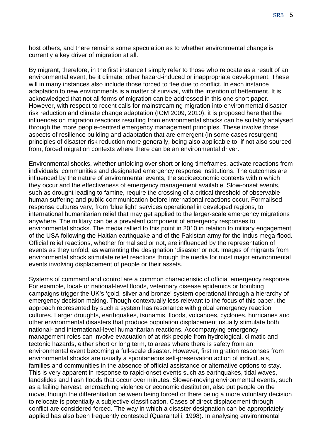SR5 5

host others, and there remains some speculation as to whether environmental change is currently a key driver of migration at all.

By migrant, therefore, in the first instance I simply refer to those who relocate as a result of an environmental event, be it climate, other hazard-induced or inappropriate development. These will in many instances also include those forced to flee due to conflict. In each instance adaptation to new environments is a matter of survival, with the intention of betterment. It is acknowledged that not all forms of migration can be addressed in this one short paper. However, with respect to recent calls for mainstreaming migration into environmental disaster risk reduction and climate change adaptation (IOM 2009, 2010), it is proposed here that the influences on migration reactions resulting from environmental shocks can be suitably analysed through the more people-centred emergency management principles. These involve those aspects of resilience building and adaptation that are emergent (in some cases resurgent) principles of disaster risk reduction more generally, being also applicable to, if not also sourced from, forced migration contexts where there can be an environmental driver.

Environmental shocks, whether unfolding over short or long timeframes, activate reactions from individuals, communities and designated emergency response institutions. The outcomes are influenced by the nature of environmental events, the socioeconomic contexts within which they occur and the effectiveness of emergency management available. Slow-onset events, such as drought leading to famine, require the crossing of a critical threshold of observable human suffering and public communication before international reactions occur. Formalised response cultures vary, from 'blue light' services operational in developed regions, to international humanitarian relief that may get applied to the larger-scale emergency migrations anywhere. The military can be a prevalent component of emergency responses to environmental shocks. The media rallied to this point in 2010 in relation to military engagement of the USA following the Haitian earthquake and of the Pakistan army for the Indus mega-flood. Official relief reactions, whether formalised or not, are influenced by the representation of events as they unfold, as warranting the designation 'disaster' or not. Images of migrants from environmental shock stimulate relief reactions through the media for most major environmental events involving displacement of people or their assets.

Systems of command and control are a common characteristic of official emergency response. For example, local- or national-level floods, veterinary disease epidemics or bombing campaigns trigger the UK's 'gold, silver and bronze' system operational through a hierarchy of emergency decision making. Though contextually less relevant to the focus of this paper, the approach represented by such a system has resonance with global emergency reaction cultures. Larger droughts, earthquakes, tsunamis, floods, volcanoes, cyclones, hurricanes and other environmental disasters that produce population displacement usually stimulate both national- and international-level humanitarian reactions. Accompanying emergency management roles can involve evacuation of at risk people from hydrological, climatic and tectonic hazards, either short or long term, to areas where there is safety from an environmental event becoming a full-scale disaster. However, first migration responses from environmental shocks are usually a spontaneous self-preservation action of individuals, families and communities in the absence of official assistance or alternative options to stay. This is very apparent in response to rapid-onset events such as earthquakes, tidal waves, landslides and flash floods that occur over minutes. Slower-moving environmental events, such as a failing harvest, encroaching violence or economic destitution, also put people on the move, though the differentiation between being forced or there being a more voluntary decision to relocate is potentially a subjective classification. Cases of direct displacement through conflict are considered forced. The way in which a disaster designation can be appropriately applied has also been frequently contested (Quarantelli, 1998). In analysing environmental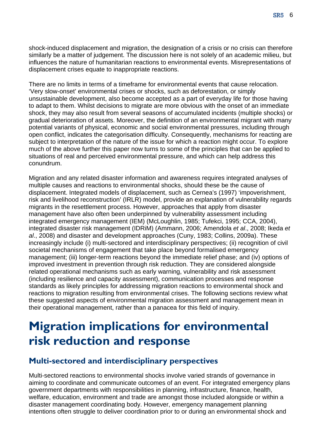<span id="page-5-0"></span>shock-induced displacement and migration, the designation of a crisis or no crisis can therefore similarly be a matter of judgement. The discussion here is not solely of an academic milieu, but influences the nature of humanitarian reactions to environmental events. Misrepresentations of displacement crises equate to inappropriate reactions.

There are no limits in terms of a timeframe for environmental events that cause relocation. 'Very slow-onset' environmental crises or shocks, such as deforestation, or simply unsustainable development, also become accepted as a part of everyday life for those having to adapt to them. Whilst decisions to migrate are more obvious with the onset of an immediate shock, they may also result from several seasons of accumulated incidents (multiple shocks) or gradual deterioration of assets. Moreover, the definition of an environmental migrant with many potential variants of physical, economic and social environmental pressures, including through open conflict, indicates the categorisation difficulty. Consequently, mechanisms for reacting are subject to interpretation of the nature of the issue for which a reaction might occur. To explore much of the above further this paper now turns to some of the principles that can be applied to situations of real and perceived environmental pressure, and which can help address this conundrum.

Migration and any related disaster information and awareness requires integrated analyses of multiple causes and reactions to environmental shocks, should these be the cause of displacement. Integrated models of displacement, such as Cernea's (1997) 'impoverishment, risk and livelihood reconstruction' (IRLR) model, provide an explanation of vulnerability regards migrants in the resettlement process. However, approaches that apply from disaster management have also often been underpinned by vulnerability assessment including integrated emergency management (IEM) (McLoughlin, 1985; Tufekci, 1995; CCA, 2004), integrated disaster risk management (IDRiM) (Ammann, 2006; Amendola *et al*., 2008; Ikeda *et al*., 2008) and disaster and development approaches (Cuny, 1983; Collins, 2009a). These increasingly include (i) multi-sectored and interdisciplinary perspectives; (ii) recognition of civil societal mechanisms of engagement that take place beyond formalised emergency management; (iii) longer-term reactions beyond the immediate relief phase; and (iv) options of improved investment in prevention through risk reduction. They are considered alongside related operational mechanisms such as early warning, vulnerability and risk assessment (including resilience and capacity assessment), communication processes and response standards as likely principles for addressing migration reactions to environmental shock and reactions to migration resulting from environmental crises. The following sections review what these suggested aspects of environmental migration assessment and management mean in their operational management, rather than a panacea for this field of inquiry.

# **Migration implications for environmental risk reduction and response**

#### **Multi-sectored and interdisciplinary perspectives**

Multi-sectored reactions to environmental shocks involve varied strands of governance in aiming to coordinate and communicate outcomes of an event. For integrated emergency plans government departments with responsibilities in planning, infrastructure, finance, health, welfare, education, environment and trade are amongst those included alongside or within a disaster management coordinating body. However, emergency management planning intentions often struggle to deliver coordination prior to or during an environmental shock and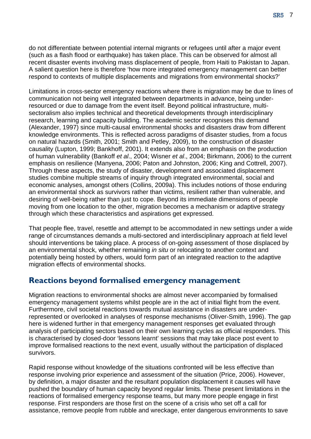<span id="page-6-0"></span>do not differentiate between potential internal migrants or refugees until after a major event (such as a flash flood or earthquake) has taken place. This can be observed for almost all recent disaster events involving mass displacement of people, from Haiti to Pakistan to Japan. A salient question here is therefore 'how more integrated emergency management can better respond to contexts of multiple displacements and migrations from environmental shocks?'

Limitations in cross-sector emergency reactions where there is migration may be due to lines of communication not being well integrated between departments in advance, being underresourced or due to damage from the event itself. Beyond political infrastructure, multisectoralism also implies technical and theoretical developments through interdisciplinary research, learning and capacity building. The academic sector recognises this demand (Alexander, 1997) since multi-causal environmental shocks and disasters draw from different knowledge environments. This is reflected across paradigms of disaster studies, from a focus on natural hazards (Smith, 2001; Smith and Petley, 2009), to the construction of disaster causality (Lupton, 1999; Bankhoff, 2001). It extends also from an emphasis on the production of human vulnerability (Bankoff *et al*., 2004; Wisner *et al*., 2004; Birkmann, 2006) to the current emphasis on resilience (Manyena, 2006; Paton and Johnston, 2006; King and Cottrell, 2007). Through these aspects, the study of disaster, development and associated displacement studies combine multiple streams of inquiry through integrated environmental, social and economic analyses, amongst others (Collins, 2009a). This includes notions of those enduring an environmental shock as survivors rather than victims, resilient rather than vulnerable, and desiring of well-being rather than just to cope. Beyond its immediate dimensions of people moving from one location to the other, migration becomes a mechanism or adaptive strategy through which these characteristics and aspirations get expressed.

That people flee, travel, resettle and attempt to be accommodated in new settings under a wide range of circumstances demands a multi-sectored and interdisciplinary approach at field level should interventions be taking place. A process of on-going assessment of those displaced by an environmental shock, whether remaining *in situ* or relocating to another context and potentially being hosted by others, would form part of an integrated reaction to the adaptive migration effects of environmental shocks.

### **Reactions beyond formalised emergency management**

Migration reactions to environmental shocks are almost never accompanied by formalised emergency management systems whilst people are in the act of initial flight from the event. Furthermore, civil societal reactions towards mutual assistance in disasters are underrepresented or overlooked in analyses of response mechanisms (Oliver-Smith, 1996). The gap here is widened further in that emergency management responses get evaluated through analysis of participating sectors based on their own learning cycles as official responders. This is characterised by closed-door 'lessons learnt' sessions that may take place post event to improve formalised reactions to the next event, usually without the participation of displaced survivors.

Rapid response without knowledge of the situations confronted will be less effective than response involving prior experience and assessment of the situation (Price, 2006). However, by definition, a major disaster and the resultant population displacement it causes will have pushed the boundary of human capacity beyond regular limits. These present limitations in the reactions of formalised emergency response teams, but many more people engage in first response. First responders are those first on the scene of a crisis who set off a call for assistance, remove people from rubble and wreckage, enter dangerous environments to save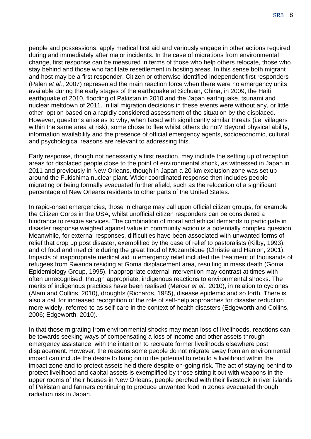SR5 8

people and possessions, apply medical first aid and variously engage in other actions required during and immediately after major incidents. In the case of migrations from environmental change, first response can be measured in terms of those who help others relocate, those who stay behind and those who facilitate resettlement in hosting areas. In this sense both migrant and host may be a first responder. Citizen or otherwise identified independent first responders (Palen *et al.*, 2007) represented the main reaction force when there were no emergency units available during the early stages of the earthquake at Sichuan, China, in 2009, the Haiti earthquake of 2010, flooding of Pakistan in 2010 and the Japan earthquake, tsunami and nuclear meltdown of 2011. Initial migration decisions in these events were without any, or little other, option based on a rapidly considered assessment of the situation by the displaced. However, questions arise as to why, when faced with significantly similar threats (i.e. villagers within the same area at risk), some chose to flee whilst others do not? Beyond physical ability, information availability and the presence of official emergency agents, socioeconomic, cultural and psychological reasons are relevant to addressing this.

Early response, though not necessarily a first reaction, may include the setting up of reception areas for displaced people close to the point of environmental shock, as witnessed in Japan in 2011 and previously in New Orleans, though in Japan a 20-km exclusion zone was set up around the Fukishima nuclear plant. Wider coordinated response then includes people migrating or being formally evacuated further afield, such as the relocation of a significant percentage of New Orleans residents to other parts of the United States.

In rapid-onset emergencies, those in charge may call upon official citizen groups, for example the Citizen Corps in the USA, whilst unofficial citizen responders can be considered a hindrance to rescue services. The combination of moral and ethical demands to participate in disaster response weighed against value in community action is a potentially complex question. Meanwhile, for external responses, difficulties have been associated with unwanted forms of relief that crop up post disaster, exemplified by the case of relief to pastoralists (Kilby, 1993), and of food and medicine during the great flood of Mozambique (Christie and Hanlon, 2001). Impacts of inappropriate medical aid in emergency relief included the treatment of thousands of refugees from Rwanda residing at Goma displacement area, resulting in mass death (Goma Epidemiology Group, 1995). Inappropriate external intervention may contrast at times with often unrecognised, though appropriate, indigenous reactions to environmental shocks. The merits of indigenous practices have been realised (Mercer *et al*., 2010), in relation to cyclones (Alam and Collins, 2010), droughts (Richards, 1985), disease epidemic and so forth. There is also a call for increased recognition of the role of self-help approaches for disaster reduction more widely, referred to as self-care in the context of health disasters (Edgeworth and Collins, 2006; Edgeworth, 2010).

In that those migrating from environmental shocks may mean loss of livelihoods, reactions can be towards seeking ways of compensating a loss of income and other assets through emergency assistance, with the intention to recreate former livelihoods elsewhere post displacement. However, the reasons some people do not migrate away from an environmental impact can include the desire to hang on to the potential to rebuild a livelihood within the impact zone and to protect assets held there despite on-going risk. The act of staying behind to protect livelihood and capital assets is exemplified by those sitting it out with weapons in the upper rooms of their houses in New Orleans, people perched with their livestock in river islands of Pakistan and farmers continuing to produce unwanted food in zones evacuated through radiation risk in Japan.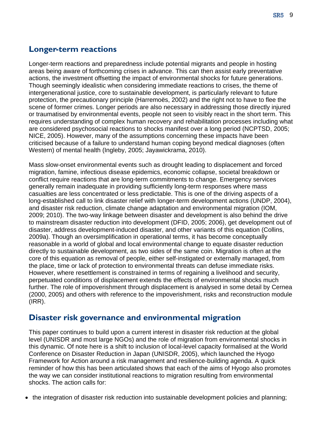### <span id="page-8-0"></span>**Longer-term reactions**

Longer-term reactions and preparedness include potential migrants and people in hosting areas being aware of forthcoming crises in advance. This can then assist early preventative actions, the investment offsetting the impact of environmental shocks for future generations. Though seemingly idealistic when considering immediate reactions to crises, the theme of intergenerational justice, core to sustainable development, is particularly relevant to future protection, the precautionary principle (Harremoës, 2002) and the right not to have to flee the scene of former crimes. Longer periods are also necessary in addressing those directly injured or traumatised by environmental events, people not seen to visibly react in the short term. This requires understanding of complex human recovery and rehabilitation processes including what are considered psychosocial reactions to shocks manifest over a long period (NCPTSD, 2005; NICE, 2005). However, many of the assumptions concerning these impacts have been criticised because of a failure to understand human coping beyond medical diagnoses (often Western) of mental health (Ingleby, 2005; Jayawickrama, 2010).

Mass slow-onset environmental events such as drought leading to displacement and forced migration, famine, infectious disease epidemics, economic collapse, societal breakdown or conflict require reactions that are long-term commitments to change. Emergency services generally remain inadequate in providing sufficiently long-term responses where mass casualties are less concentrated or less predictable. This is one of the driving aspects of a long-established call to link disaster relief with longer-term development actions (UNDP, 2004), and disaster risk reduction, climate change adaptation and environmental migration (IOM, 2009; 2010). The two-way linkage between disaster and development is also behind the drive to mainstream disaster reduction into development (DFID, 2005; 2006), get development out of disaster, address development-induced disaster, and other variants of this equation (Collins, 2009a). Though an oversimplification in operational terms, it has become conceptually reasonable in a world of global and local environmental change to equate disaster reduction directly to sustainable development, as two sides of the same coin. Migration is often at the core of this equation as removal of people, either self-instigated or externally managed, from the place, time or lack of protection to environmental threats can defuse immediate risks. However, where resettlement is constrained in terms of regaining a livelihood and security, perpetuated conditions of displacement extends the effects of environmental shocks much further. The role of impoverishment through displacement is analysed in some detail by Cernea (2000, 2005) and others with reference to the impoverishment, risks and reconstruction module (IRR).

#### **Disaster risk governance and environmental migration**

This paper continues to build upon a current interest in disaster risk reduction at the global level (UNISDR and most large NGOs) and the role of migration from environmental shocks in this dynamic. Of note here is a shift to inclusion of local-level capacity formalised at the World Conference on Disaster Reduction in Japan (UNISDR, 2005), which launched the Hyogo Framework for Action around a risk management and resilience-building agenda. A quick reminder of how this has been articulated shows that each of the aims of Hyogo also promotes the way we can consider institutional reactions to migration resulting from environmental shocks. The action calls for:

• the integration of disaster risk reduction into sustainable development policies and planning: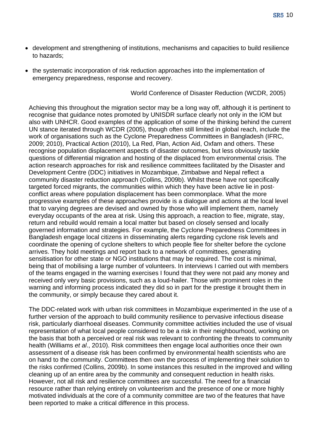- development and strengthening of institutions, mechanisms and capacities to build resilience to hazards;
- the systematic incorporation of risk reduction approaches into the implementation of emergency preparedness, response and recovery.

World Conference of Disaster Reduction (WCDR, 2005)

Achieving this throughout the migration sector may be a long way off, although it is pertinent to recognise that guidance notes promoted by UNISDR surface clearly not only in the IOM but also with UNHCR. Good examples of the application of some of the thinking behind the current UN stance iterated through WCDR (2005), though often still limited in global reach, include the work of organisations such as the Cyclone Preparedness Committees in Bangladesh (IFRC, 2009; 2010), Practical Action (2010), La Red, Plan, Action Aid, Oxfam and others. These recognise population displacement aspects of disaster outcomes, but less obviously tackle questions of differential migration and hosting of the displaced from environmental crisis. The action research approaches for risk and resilience committees facilitated by the Disaster and Development Centre (DDC) initiatives in Mozambique, Zimbabwe and Nepal reflect a community disaster reduction approach (Collins, 2009b). Whilst these have not specifically targeted forced migrants, the communities within which they have been active lie in postconflict areas where population displacement has been commonplace. What the more progressive examples of these approaches provide is a dialogue and actions at the local level that to varying degrees are devised and owned by those who will implement them, namely everyday occupants of the area at risk. Using this approach, a reaction to flee, migrate, stay, return and rebuild would remain a local matter but based on closely sensed and locally governed information and strategies. For example, the Cyclone Preparedness Committees in Bangladesh engage local citizens in disseminating alerts regarding cyclone risk levels and coordinate the opening of cyclone shelters to which people flee for shelter before the cyclone arrives. They hold meetings and report back to a network of committees, generating sensitisation for other state or NGO institutions that may be required. The cost is minimal, being that of mobilising a large number of volunteers. In interviews I carried out with members of the teams engaged in the warning exercises I found that they were not paid any money and received only very basic provisions, such as a loud-hailer. Those with prominent roles in the warning and informing process indicated they did so in part for the prestige it brought them in the community, or simply because they cared about it.

The DDC-related work with urban risk committees in Mozambique experimented in the use of a further version of the approach to build community resilience to pervasive infectious disease risk, particularly diarrhoeal diseases. Community committee activities included the use of visual representation of what local people considered to be a risk in their neighbourhood, working on the basis that both a perceived or real risk was relevant to confronting the threats to community health (Williams *et al*., 2010). Risk committees then engage local authorities once their own assessment of a disease risk has been confirmed by environmental health scientists who are on hand to the community. Committees then own the process of implementing their solution to the risks confirmed (Collins, 2009b). In some instances this resulted in the improved and willing cleaning up of an entire area by the community and consequent reduction in health risks. However, not all risk and resilience committees are successful. The need for a financial resource rather than relying entirely on volunteerism and the presence of one or more highly motivated individuals at the core of a community committee are two of the features that have been reported to make a critical difference in this process.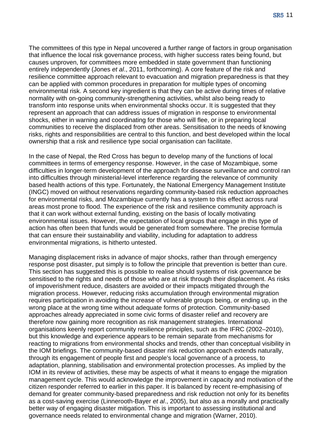The committees of this type in Nepal uncovered a further range of factors in group organisation that influence the local risk governance process, with higher success rates being found, but causes unproven, for committees more embedded in state government than functioning entirely independently (Jones *et al*., 2011, forthcoming). A core feature of the risk and resilience committee approach relevant to evacuation and migration preparedness is that they can be applied with common procedures in preparation for multiple types of oncoming environmental risk. A second key ingredient is that they can be active during times of relative normality with on-going community-strengthening activities, whilst also being ready to transform into response units when environmental shocks occur. It is suggested that they represent an approach that can address issues of migration in response to environmental shocks, either in warning and coordinating for those who will flee, or in preparing local communities to receive the displaced from other areas. Sensitisation to the needs of knowing risks, rights and responsibilities are central to this function, and best developed within the local ownership that a risk and resilience type social organisation can facilitate.

In the case of Nepal, the Red Cross has begun to develop many of the functions of local committees in terms of emergency response. However, in the case of Mozambique, some difficulties in longer-term development of the approach for disease surveillance and control ran into difficulties through ministerial-level interference regarding the relevance of community based health actions of this type. Fortunately, the National Emergency Management Institute (INGC) moved on without reservations regarding community-based risk reduction approaches for environmental risks, and Mozambique currently has a system to this effect across rural areas most prone to flood. The experience of the risk and resilience community approach is that it can work without external funding, existing on the basis of locally motivating environmental issues. However, the expectation of local groups that engage in this type of action has often been that funds would be generated from somewhere. The precise formula that can ensure their sustainability and viability, including for adaptation to address environmental migrations, is hitherto untested.

Managing displacement risks in advance of major shocks, rather than through emergency response post disaster, put simply is to follow the principle that prevention is better than cure. This section has suggested this is possible to realise should systems of risk governance be sensitised to the rights and needs of those who are at risk through their displacement. As risks of impoverishment reduce, disasters are avoided or their impacts mitigated through the migration process. However, reducing risks accumulation through environmental migration requires participation in avoiding the increase of vulnerable groups being, or ending up, in the wrong place at the wrong time without adequate forms of protection. Community-based approaches already appreciated in some civic forms of disaster relief and recovery are therefore now gaining more recognition as risk management strategies. International organisations keenly report community resilience principles, such as the IFRC (2002–2010), but this knowledge and experience appears to be remain separate from mechanisms for reacting to migrations from environmental shocks and trends, other than conceptual visibility in the IOM briefings. The community-based disaster risk reduction approach extends naturally, through its engagement of people first and people's local governance of a process, to adaptation, planning, stabilisation and environmental protection processes. As implied by the IOM in its review of activities, these may be aspects of what it means to engage the migration management cycle. This would acknowledge the improvement in capacity and motivation of the citizen responder referred to earlier in this paper. It is balanced by recent re-emphasising of demand for greater community-based preparedness and risk reduction not only for its benefits as a cost-saving exercise (Linnerooth-Bayer *et al*., 2005), but also as a morally and practically better way of engaging disaster mitigation. This is important to assessing institutional and governance needs related to environmental change and migration (Warner, 2010).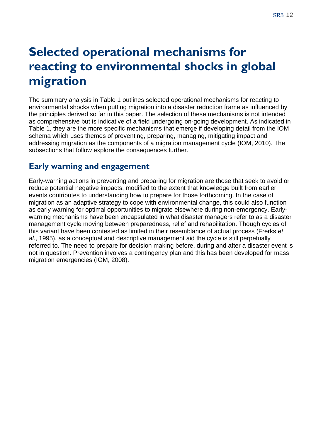# <span id="page-11-0"></span>**Selected operational mechanisms for reacting to environmental shocks in global migration**

The summary analysis in Table 1 outlines selected operational mechanisms for reacting to environmental shocks when putting migration into a disaster reduction frame as influenced by the principles derived so far in this paper. The selection of these mechanisms is not intended as comprehensive but is indicative of a field undergoing on-going development. As indicated in Table 1, they are the more specific mechanisms that emerge if developing detail from the IOM schema which uses themes of preventing, preparing, managing, mitigating impact and addressing migration as the components of a migration management cycle (IOM, 2010). The subsections that follow explore the consequences further.

### **Early warning and engagement**

Early-warning actions in preventing and preparing for migration are those that seek to avoid or reduce potential negative impacts, modified to the extent that knowledge built from earlier events contributes to understanding how to prepare for those forthcoming. In the case of migration as an adaptive strategy to cope with environmental change, this could also function as early warning for optimal opportunities to migrate elsewhere during non-emergency. Earlywarning mechanisms have been encapsulated in what disaster managers refer to as a disaster management cycle moving between preparedness, relief and rehabilitation. Though cycles of this variant have been contested as limited in their resemblance of actual process (Frerks *et al*., 1995), as a conceptual and descriptive management aid the cycle is still perpetually referred to. The need to prepare for decision making before, during and after a disaster event is not in question. Prevention involves a contingency plan and this has been developed for mass migration emergencies (IOM, 2008).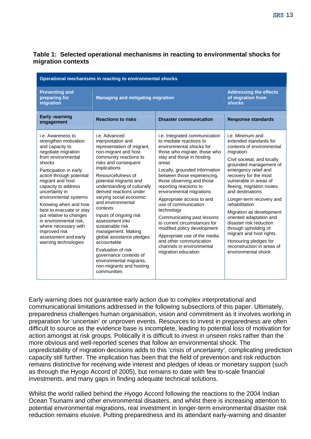#### **Table 1: Selected operational mechanisms in reacting to environmental shocks for migration contexts**

| Operational mechanisms in reacting to environmental shocks                                                                                                                                                                                                                                                                                                                                                                                                         |                                                                                                                                                                                                                                                                                                                                                                                                                                                                                                                                                                                            |                                                                                                                                                                                                                                                                                                                                                                                                                                                                                                                                                                                              |                                                                                                                                                                                                                                                                                                                                                                                                                                                                                                                                              |  |  |
|--------------------------------------------------------------------------------------------------------------------------------------------------------------------------------------------------------------------------------------------------------------------------------------------------------------------------------------------------------------------------------------------------------------------------------------------------------------------|--------------------------------------------------------------------------------------------------------------------------------------------------------------------------------------------------------------------------------------------------------------------------------------------------------------------------------------------------------------------------------------------------------------------------------------------------------------------------------------------------------------------------------------------------------------------------------------------|----------------------------------------------------------------------------------------------------------------------------------------------------------------------------------------------------------------------------------------------------------------------------------------------------------------------------------------------------------------------------------------------------------------------------------------------------------------------------------------------------------------------------------------------------------------------------------------------|----------------------------------------------------------------------------------------------------------------------------------------------------------------------------------------------------------------------------------------------------------------------------------------------------------------------------------------------------------------------------------------------------------------------------------------------------------------------------------------------------------------------------------------------|--|--|
| <b>Preventing and</b><br>preparing for<br>migration                                                                                                                                                                                                                                                                                                                                                                                                                | <b>Managing and mitigating migration</b>                                                                                                                                                                                                                                                                                                                                                                                                                                                                                                                                                   |                                                                                                                                                                                                                                                                                                                                                                                                                                                                                                                                                                                              | <b>Addressing the effects</b><br>of migration from<br><b>shocks</b>                                                                                                                                                                                                                                                                                                                                                                                                                                                                          |  |  |
| <b>Early -warning</b><br>engagement                                                                                                                                                                                                                                                                                                                                                                                                                                | <b>Reactions to risks</b>                                                                                                                                                                                                                                                                                                                                                                                                                                                                                                                                                                  | <b>Disaster communication</b>                                                                                                                                                                                                                                                                                                                                                                                                                                                                                                                                                                | <b>Response standards</b>                                                                                                                                                                                                                                                                                                                                                                                                                                                                                                                    |  |  |
| i.e. Awareness to<br>strengthen motivation<br>and capacity to<br>negotiate migration<br>from environmental<br>shocks<br>Participation in early<br>action through potential<br>migrant and host<br>capacity to address<br>uncertainty in<br>environmental systems<br>Knowing when and how<br>best to evacuate or stay<br>put relative to changes<br>in environmental risk,<br>where necessary with<br>improved risk<br>assessment and early<br>warning technologies | i.e. Advanced<br>interpretation and<br>representation of migrant,<br>non-migrant and host<br>community reactions to<br>risks and consequent<br>implications<br>Resourcefulness of<br>potential migrants and<br>understanding of culturally<br>derived reactions under<br>varying social economic<br>and environmental<br>contexts<br>Inputs of ongoing risk<br>assessment into<br>sustainable risk<br>management. Making<br>global assistance pledges<br>accountable<br>Evaluation of risk<br>governance contexts of<br>environmental migrants,<br>non-migrants and hosting<br>communities | i.e. Integrated communication<br>to mediate reactions to<br>environmental shocks for<br>those who migrate, those who<br>stay and those in hosting<br>areas<br>Locally, grounded information<br>between those experiencing.<br>those observing and those<br>reporting reactions to<br>environmental migrations<br>Appropriate access to and<br>use of communication<br>technology<br>Communicating past lessons<br>to current circumstances for<br>modified policy development<br>Appropriate use of the media<br>and other communication<br>channels in environmental<br>migration education | i.e. Minimum and<br>extended standards for<br>contexts of environmental<br>migration.<br>Civil societal, and locally<br>grounded management of<br>emergency relief and<br>recovery for the most<br>vulnerable in areas of<br>fleeing, migration routes<br>and destinations<br>Longer-term recovery and<br>rehabilitation<br>Migration as development<br>oriented adaptation and<br>disaster risk reduction<br>through upholding of<br>migrant and host rights.<br>Honouring pledges for<br>reconstruction in areas of<br>environmental shock |  |  |

Early warning does not guarantee early action due to complex interpretational and communicational limitations addressed in the following subsections of this paper. Ultimately, preparedness challenges human organisation, vision and commitment as it involves working in preparation for 'uncertain' or unproven events. Resources to invest in preparedness are often difficult to source as the evidence base is incomplete, leading to potential loss of motivation for action amongst at risk groups. Politically it is difficult to invest in unseen risks rather than the more obvious and well-reported scenes that follow an environmental shock. The unpredictability of migration decisions adds to this 'crisis of uncertainty', complicating prediction capacity still further. The implication has been that the field of prevention and risk reduction remains distinctive for receiving wide interest and pledges of ideas or monetary support (such as through the Hyogo Accord of 2005), but remains to date with few to-scale financial investments, and many gaps in finding adequate technical solutions.

Whilst the world rallied behind the Hyogo Accord following the reactions to the 2004 Indian Ocean Tsunami and other environmental disasters, and whilst there is increasing attention to potential environmental migrations, real investment in longer-term environmental disaster risk reduction remains elusive. Putting preparedness and its attendant early-warning and disaster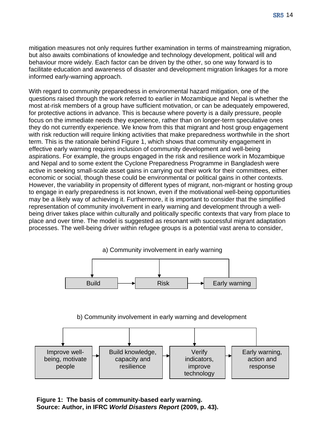mitigation measures not only requires further examination in terms of mainstreaming migration, but also awaits combinations of knowledge and technology development, political will and behaviour more widely. Each factor can be driven by the other, so one way forward is to facilitate education and awareness of disaster and development migration linkages for a more informed early-warning approach.

With regard to community preparedness in environmental hazard mitigation, one of the questions raised through the work referred to earlier in Mozambique and Nepal is whether the most at-risk members of a group have sufficient motivation, or can be adequately empowered, for protective actions in advance. This is because where poverty is a daily pressure, people focus on the immediate needs they experience, rather than on longer-term speculative ones they do not currently experience. We know from this that migrant and host group engagement with risk reduction will require linking activities that make preparedness worthwhile in the short term. This is the rationale behind Figure 1, which shows that community engagement in effective early warning requires inclusion of community development and well-being aspirations. For example, the groups engaged in the risk and resilience work in Mozambique and Nepal and to some extent the Cyclone Preparedness Programme in Bangladesh were active in seeking small-scale asset gains in carrying out their work for their committees, either economic or social, though these could be environmental or political gains in other contexts. However, the variability in propensity of different types of migrant, non-migrant or hosting group to engage in early preparedness is not known, even if the motivational well-being opportunities may be a likely way of achieving it. Furthermore, it is important to consider that the simplified representation of community involvement in early warning and development through a wellbeing driver takes place within culturally and politically specific contexts that vary from place to place and over time. The model is suggested as resonant with successful migrant adaptation processes. The well-being driver within refugee groups is a potential vast arena to consider,



#### b) Community involvement in early warning and development



**Figure 1: The basis of community-based early warning. Source: Author, in IFRC** *World Disasters Report* **(2009, p. 43).**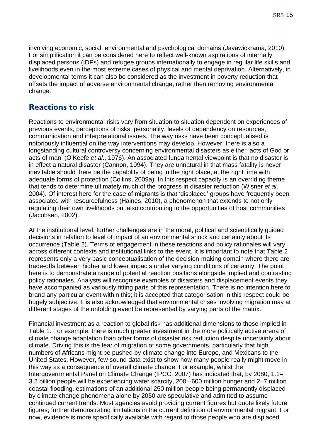<span id="page-14-0"></span>involving economic, social, environmental and psychological domains (Jayawickrama, 2010). For simplification it can be considered here to reflect well-known aspirations of internally displaced persons (IDPs) and refugee groups internationally to engage in regular life skills and livelihoods even in the most extreme cases of physical and mental deprivation. Alternatively, in developmental terms it can also be considered as the investment in poverty reduction that offsets the impact of adverse environmental change, rather then removing environmental change.

### **Reactions to risk**

Reactions to environmental risks vary from situation to situation dependent on experiences of previous events, perceptions of risks, personality, levels of dependency on resources, communication and interpretational issues. The way risks have been conceptualised is notoriously influential on the way interventions may develop. However, there is also a longstanding cultural controversy concerning environmental disasters as either 'acts of God or acts of man' (O'Keefe *et al*., 1976). An associated fundamental viewpoint is that no disaster is in effect a natural disaster (Cannon, 1994). They are unnatural in that mass fatality is never inevitable should there be the capability of being in the right place, at the right time with adequate forms of protection (Collins, 2009a). In this respect capacity is an overriding theme that tends to determine ultimately much of the progress in disaster reduction (Wisner *et al*., 2004). Of interest here for the case of migrants is that 'displaced' groups have frequently been associated with resourcefulness (Haines, 2010), a phenomenon that extends to not only regulating their own livelihoods but also contributing to the opportunities of host communities (Jacobsen, 2002).

At the institutional level, further challenges are in the moral, political and scientifically guided decisions in relation to level of impact of an environmental shock and certainty about its occurrence (Table 2). Terms of engagement in these reactions and policy rationales will vary across different contexts and institutional links to the event. It is important to note that Table 2 represents only a very basic conceptualisation of the decision-making domain where there are trade-offs between higher and lower impacts under varying conditions of certainty. The point here is to demonstrate a range of potential reaction positions alongside implied and contrasting policy rationales. Analysts will recognise examples of disasters and displacement events they have accompanied as variously fitting parts of this representation. There is no intention here to brand any particular event within this; it is accepted that categorisation in this respect could be hugely subjective. It is also acknowledged that environmental crises involving migration may at different stages of the unfolding event be represented by varying parts of the matrix.

Financial investment as a reaction to global risk has additional dimensions to those implied in Table 1. For example, there is much greater investment in the more politically active arena of climate change adaptation than other forms of disaster risk reduction despite uncertainty about climate. Driving this is the fear of migration of some governments, particularly that high numbers of Africans might be pushed by climate change into Europe, and Mexicans to the United States. However, few sound data exist to show how many people really might move in this way as a consequence of overall climate change. For example, whilst the Intergovernmental Panel on Climate Change (IPCC, 2007) has indicated that, by 2080, 1.1– 3.2 billion people will be experiencing water scarcity, 200 –600 million hunger and 2–7 million coastal flooding, estimations of an additional 250 million people being permanently displaced by climate change phenomena alone by 2050 are speculative and admitted to assume continued current trends. Most agencies avoid providing current figures but quote likely future figures, further demonstrating limitations in the current definition of environmental migrant. For now, evidence is more specifically available with regard to those people who are displaced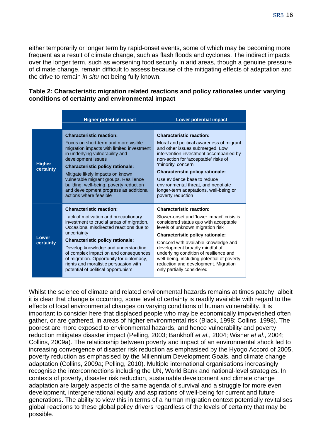either temporarily or longer term by rapid-onset events, some of which may be becoming more frequent as a result of climate change, such as flash floods and cyclones. The indirect impacts over the longer term, such as worsening food security in arid areas, though a genuine pressure of climate change, remain difficult to assess because of the mitigating effects of adaptation and the drive to remain *in situ* not being fully known.

#### **Table 2: Characteristic migration related reactions and policy rationales under varying conditions of certainty and environmental impact**

|                            | <b>Higher potential impact</b>                                                                                                                                                                                                                                                                                                                                                                                                       | <b>Lower potential impact</b>                                                                                                                                                                                                                                                                                                                                                                                                        |
|----------------------------|--------------------------------------------------------------------------------------------------------------------------------------------------------------------------------------------------------------------------------------------------------------------------------------------------------------------------------------------------------------------------------------------------------------------------------------|--------------------------------------------------------------------------------------------------------------------------------------------------------------------------------------------------------------------------------------------------------------------------------------------------------------------------------------------------------------------------------------------------------------------------------------|
| <b>Higher</b><br>certainty | <b>Characteristic reaction:</b><br>Focus on short-term and more visible<br>migration impacts with limited investment<br>in underlying vulnerability and<br>development issues<br><b>Characteristic policy rationale:</b><br>Mitigate likely impacts on known<br>vulnerable migrant groups. Resilience<br>building, well-being, poverty reduction<br>and development progress as additional<br>actions where feasible                 | <b>Characteristic reaction:</b><br>Moral and political awareness of migrant<br>and other issues submerged. Low<br>intervention investment accompanied by<br>non-action for 'acceptable' risks of<br>'minority' concern<br><b>Characteristic policy rationale:</b><br>Use evidence base to reduce<br>environmental threat, and negotiate<br>longer-term adaptations, well-being or<br>poverty reduction                               |
| Lower<br>certainty         | <b>Characteristic reaction:</b><br>Lack of motivation and precautionary<br>investment to crucial areas of migration.<br>Occasional misdirected reactions due to<br>uncertainty<br><b>Characteristic policy rationale:</b><br>Develop knowledge and understanding<br>of complex impact on and consequences<br>of migration. Opportunity for diplomacy,<br>rights and moralistic persuasion with<br>potential of political opportunism | <b>Characteristic reaction:</b><br>Slower-onset and 'lower impact' crisis is<br>considered status quo with acceptable<br>levels of unknown migration risk<br>Characteristic policy rationale:<br>Concord with available knowledge and<br>development broadly mindful of<br>underlying condition of resilience and<br>well-being, including potential of poverty<br>reduction and development. Migration<br>only partially considered |

Whilst the science of climate and related environmental hazards remains at times patchy, albeit it is clear that change is occurring, some level of certainty is readily available with regard to the effects of local environmental changes on varying conditions of human vulnerability. It is important to consider here that displaced people who may be economically impoverished often gather, or are gathered, in areas of higher environmental risk (Black, 1998; Collins, 1998). The poorest are more exposed to environmental hazards, and hence vulnerability and poverty reduction mitigates disaster impact (Pelling, 2003; Bankhoff *et al*., 2004; Wisner *et al*., 2004; Collins, 2009a). The relationship between poverty and impact of an environmental shock led to increasing convergence of disaster risk reduction as emphasised by the Hyogo Accord of 2005, poverty reduction as emphasised by the Millennium Development Goals, and climate change adaptation (Collins, 2009a; Pelling, 2010). Multiple international organisations increasingly recognise the interconnections including the UN, World Bank and national-level strategies. In contexts of poverty, disaster risk reduction, sustainable development and climate change adaptation are largely aspects of the same agenda of survival and a struggle for more even development, intergenerational equity and aspirations of well-being for current and future generations. The ability to view this in terms of a human migration context potentially revitalises global reactions to these global policy drivers regardless of the levels of certainty that may be possible.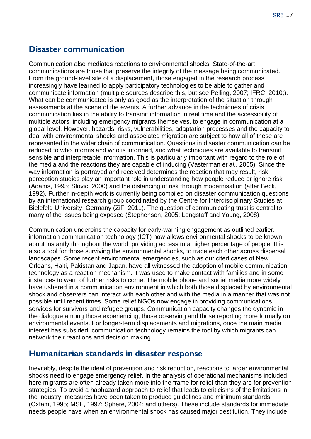#### <span id="page-16-0"></span>**Disaster communication**

Communication also mediates reactions to environmental shocks. State-of-the-art communications are those that preserve the integrity of the message being communicated. From the ground-level site of a displacement, those engaged in the research process increasingly have learned to apply participatory technologies to be able to gather and communicate information (multiple sources describe this, but see Pelling, 2007; IFRC, 2010;). What can be communicated is only as good as the interpretation of the situation through assessments at the scene of the events. A further advance in the techniques of crisis communication lies in the ability to transmit information in real time and the accessibility of multiple actors, including emergency migrants themselves, to engage in communication at a global level. However, hazards, risks, vulnerabilities, adaptation processes and the capacity to deal with environmental shocks and associated migration are subject to how all of these are represented in the wider chain of communication. Questions in disaster communication can be reduced to who informs and who is informed, and what techniques are available to transmit sensible and interpretable information. This is particularly important with regard to the role of the media and the reactions they are capable of inducing (Vasterman *et al*., 2005). Since the way information is portrayed and received determines the reaction that may result, risk perception studies play an important role in understanding how people reduce or ignore risk (Adams, 1995; Slovic, 2000) and the distancing of risk through modernisation (after Beck, 1992). Further in-depth work is currently being compiled on disaster communication questions by an international research group coordinated by the Centre for Interdisciplinary Studies at Bielefeld University, Germany (ZiF, 2011). The question of communicating trust is central to many of the issues being exposed (Stephenson, 2005; Longstaff and Young, 2008).

Communication underpins the capacity for early-warning engagement as outlined earlier. information communication technology (ICT) now allows environmental shocks to be known about instantly throughout the world, providing access to a higher percentage of people. It is also a tool for those surviving the environmental shocks, to trace each other across dispersal landscapes. Some recent environmental emergencies, such as our cited cases of New Orleans, Haiti, Pakistan and Japan, have all witnessed the adoption of mobile communication technology as a reaction mechanism. It was used to make contact with families and in some instances to warn of further risks to come. The mobile phone and social media more widely have ushered in a communication environment in which both those displaced by environmental shock and observers can interact with each other and with the media in a manner that was not possible until recent times. Some relief NGOs now engage in providing communications services for survivors and refugee groups. Communication capacity changes the dynamic in the dialogue among those experiencing, those observing and those reporting more formally on environmental events. For longer-term displacements and migrations, once the main media interest has subsided, communication technology remains the tool by which migrants can network their reactions and decision making.

#### **Humanitarian standards in disaster response**

Inevitably, despite the ideal of prevention and risk reduction, reactions to larger environmental shocks need to engage emergency relief. In the analysis of operational mechanisms included here migrants are often already taken more into the frame for relief than they are for prevention strategies. To avoid a haphazard approach to relief that leads to criticisms of the limitations in the industry, measures have been taken to produce guidelines and minimum standards (Oxfam, 1995; MSF, 1997; Sphere, 2004; and others). These include standards for immediate needs people have when an environmental shock has caused major destitution. They include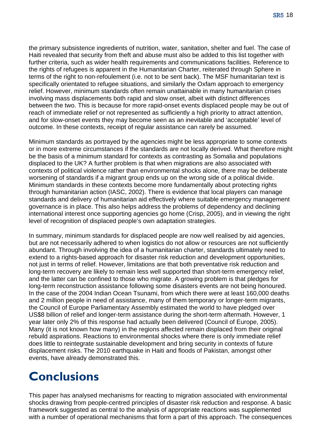<span id="page-17-0"></span>the primary subsistence ingredients of nutrition, water, sanitation, shelter and fuel. The case of Haiti revealed that security from theft and abuse must also be added to this list together with further criteria, such as wider health requirements and communications facilities. Reference to the rights of refugees is apparent in the Humanitarian Charter, reiterated through Sphere in terms of the right to non-refoulement (i.e. not to be sent back). The MSF humanitarian text is specifically orientated to refugee situations, and similarly the Oxfam approach to emergency relief. However, minimum standards often remain unattainable in many humanitarian crises involving mass displacements both rapid and slow onset, albeit with distinct differences between the two. This is because for more rapid-onset events displaced people may be out of reach of immediate relief or not represented as sufficiently a high priority to attract attention, and for slow-onset events they may become seen as an inevitable and 'acceptable' level of outcome. In these contexts, receipt of regular assistance can rarely be assumed.

Minimum standards as portrayed by the agencies might be less appropriate to some contexts or in more extreme circumstances if the standards are not locally derived. What therefore might be the basis of a minimum standard for contexts as contrasting as Somalia and populations displaced to the UK? A further problem is that when migrations are also associated with contexts of political violence rather than environmental shocks alone, there may be deliberate worsening of standards if a migrant group ends up on the wrong side of a political divide. Minimum standards in these contexts become more fundamentally about protecting rights through humanitarian action (IASC, 2002). There is evidence that local players can manage standards and delivery of humanitarian aid effectively where suitable emergency management governance is in place. This also helps address the problems of dependency and declining international interest once supporting agencies go home (Crisp, 2005), and in viewing the right level of recognition of displaced people's own adaptation strategies.

In summary, minimum standards for displaced people are now well realised by aid agencies, but are not necessarily adhered to when logistics do not allow or resources are not sufficiently abundant. Through involving the idea of a humanitarian charter, standards ultimately need to extend to a rights-based approach for disaster risk reduction and development opportunities, not just in terms of relief. However, limitations are that both preventative risk reduction and long-term recovery are likely to remain less well supported than short-term emergency relief, and the latter can be confined to those who migrate. A growing problem is that pledges for long-term reconstruction assistance following some disasters events are not being honoured. In the case of the 2004 Indian Ocean Tsunami, from which there were at least 160,000 deaths and 2 million people in need of assistance, many of them temporary or longer-term migrants, the Council of Europe Parliamentary Assembly estimated the world to have pledged over US\$8 billion of relief and longer-term assistance during the short-term aftermath. However, 1 year later only 2% of this response had actually been delivered (Council of Europe, 2005). Many (it is not known how many) in the regions affected remain displaced from their original rebuild aspirations. Reactions to environmental shocks where there is only immediate relief does little to reintegrate sustainable development and bring security in contexts of future displacement risks. The 2010 earthquake in Haiti and floods of Pakistan, amongst other events, have already demonstrated this.

# **Conclusions**

This paper has analysed mechanisms for reacting to migration associated with environmental shocks drawing from people-centred principles of disaster risk reduction and response. A basic framework suggested as central to the analysis of appropriate reactions was supplemented with a number of operational mechanisms that form a part of this approach. The consequences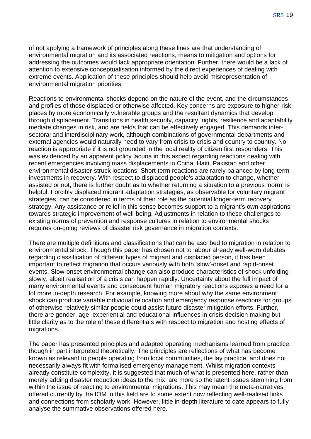of not applying a framework of principles along these lines are that understanding of environmental migration and its associated reactions, means to mitigation and options for addressing the outcomes would lack appropriate orientation. Further, there would be a lack of attention to extensive conceptualisation informed by the direct experiences of dealing with extreme events. Application of these principles should help avoid misrepresentation of environmental migration priorities.

Reactions to environmental shocks depend on the nature of the event, and the circumstances and profiles of those displaced or otherwise affected. Key concerns are exposure to higher-risk places by more economically vulnerable groups and the resultant dynamics that develop through displacement. Transitions in health security, capacity, rights, resilience and adaptability mediate changes in risk, and are fields that can be effectively engaged. This demands intersectoral and interdisciplinary work, although combinations of governmental departments and external agencies would naturally need to vary from crisis to crisis and country to country. No reaction is appropriate if it is not grounded in the local reality of citizen first responders. This was evidenced by an apparent policy lacuna in this aspect regarding reactions dealing with recent emergencies involving mass displacements in China, Haiti, Pakistan and other environmental disaster-struck locations. Short-term reactions are rarely balanced by long-term investments in recovery. With respect to displaced people's adaptation to change, whether assisted or not, there is further doubt as to whether returning a situation to a previous 'norm' is helpful. Forcibly displaced migrant adaptation strategies, as observable for voluntary migrant strategies, can be considered in terms of their role as the potential longer-term recovery strategy. Any assistance or relief in this sense becomes support to a migrant's own aspirations towards strategic improvement of well-being. Adjustments in relation to these challenges to existing norms of prevention and response cultures in relation to environmental shocks requires on-going reviews of disaster risk governance in migration contexts.

There are multiple definitions and classifications that can be ascribed to migration in relation to environmental shock. Though this paper has chosen not to labour already well-worn debates regarding classification of different types of migrant and displaced person, it has been important to reflect migration that occurs variously with both 'slow'-onset and rapid-onset events. Slow-onset environmental change can also produce characteristics of shock unfolding slowly, albeit realisation of a crisis can happen rapidly. Uncertainty about the full impact of many environmental events and consequent human migratory reactions exposes a need for a lot more in-depth research. For example, knowing more about why the same environment shock can produce variable individual relocation and emergency response reactions for groups of otherwise relatively similar people could assist future disaster mitigation efforts. Further, there are gender, age, experiential and educational influences in crisis decision making but little clarity as to the role of these differentials with respect to migration and hosting effects of migrations.

The paper has presented principles and adapted operating mechanisms learned from practice, though in part interpreted theoretically. The principles are reflections of what has become known as relevant to people operating from local communities, the lay practice, and does not necessarily always fit with formalised emergency management. Whilst migration contexts already constitute complexity, it is suggested that much of what is presented here, rather than merely adding disaster reduction ideas to the mix, are more so the latent issues stemming from within the issue of reacting to environmental migrations. This may mean the meta-narratives offered currently by the IOM in this field are to some extent now reflecting well-realised links and connections from scholarly work. However, little in-depth literature to date appears to fully analyse the summative observations offered here.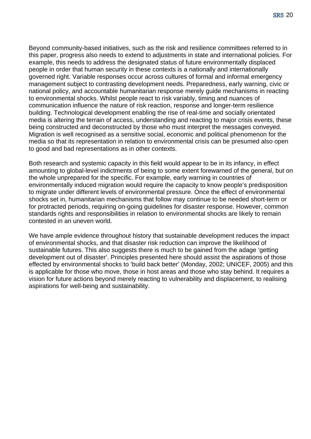Beyond community-based initiatives, such as the risk and resilience committees referred to in this paper, progress also needs to extend to adjustments in state and international policies. For example, this needs to address the designated status of future environmentally displaced people in order that human security in these contexts is a nationally and internationally governed right. Variable responses occur across cultures of formal and informal emergency management subject to contrasting development needs. Preparedness, early warning, civic or national policy, and accountable humanitarian response merely guide mechanisms in reacting to environmental shocks. Whilst people react to risk variably, timing and nuances of communication influence the nature of risk reaction, response and longer-term resilience building. Technological development enabling the rise of real-time and socially orientated media is altering the terrain of access, understanding and reacting to major crisis events, these being constructed and deconstructed by those who must interpret the messages conveyed. Migration is well recognised as a sensitive social, economic and political phenomenon for the media so that its representation in relation to environmental crisis can be presumed also open to good and bad representations as in other contexts.

Both research and systemic capacity in this field would appear to be in its infancy, in effect amounting to global-level indictments of being to some extent forewarned of the general, but on the whole unprepared for the specific. For example, early warning in countries of environmentally induced migration would require the capacity to know people's predisposition to migrate under different levels of environmental pressure. Once the effect of environmental shocks set in, humanitarian mechanisms that follow may continue to be needed short-term or for protracted periods, requiring on-going guidelines for disaster response. However, common standards rights and responsibilities in relation to environmental shocks are likely to remain contested in an uneven world.

We have ample evidence throughout history that sustainable development reduces the impact of environmental shocks, and that disaster risk reduction can improve the likelihood of sustainable futures. This also suggests there is much to be gained from the adage 'getting development out of disaster'. Principles presented here should assist the aspirations of those effected by environmental shocks to 'build back better' (Monday, 2002; UNICEF, 2005) and this is applicable for those who move, those in host areas and those who stay behind. It requires a vision for future actions beyond merely reacting to vulnerability and displacement, to realising aspirations for well-being and sustainability.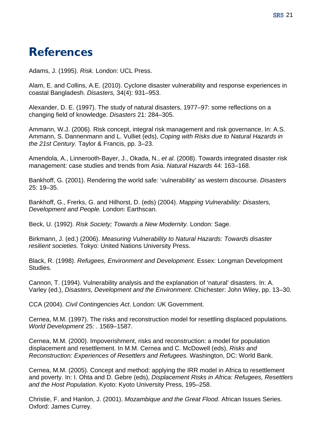# <span id="page-20-0"></span>**References**

Adams, J. (1995). *Risk.* London: UCL Press.

Alam, E. and Collins, A.E. (2010). Cyclone disaster vulnerability and response experiences in coastal Bangladesh. *Disasters,* 34(4): 931–953.

Alexander, D. E. (1997). The study of natural disasters, 1977–97: some reflections on a changing field of knowledge. *Disasters* 21: 284–305.

Ammann, W.J. (2006). Risk concept, integral risk management and risk governance. In: A.S. Ammann, S. Dannenmann and L. Vulliet (eds), *Coping with Risks due to Natural Hazards in the 21st Century.* Taylor & Francis, pp. 3–23.

Amendola, A., Linnerooth-Bayer, J., Okada, N., *et al*. (2008). Towards integrated disaster risk management: case studies and trends from Asia. *Natural Hazards* 44: 163–168.

Bankhoff, G. (2001). Rendering the world safe: 'vulnerability' as western discourse. *Disasters* 25: 19–35.

Bankhoff, G., Frerks, G. and Hilhorst, D. (eds) (2004). *Mapping Vulnerability: Disasters, Development and People.* London: Earthscan.

Beck, U. (1992). *Risk Society; Towards a New Modernity.* London: Sage.

Birkmann, J. (ed.) (2006). *Measuring Vulnerability to Natural Hazards: Towards disaster resilient societies.* Tokyo: United Nations University Press.

Black, R. (1998). *Refugees, Environment and Development*. Essex: Longman Development Studies.

Cannon, T. (1994). Vulnerability analysis and the explanation of 'natural' disasters. In: A. Varley (ed.), *Disasters, Development and the Environment*. Chichester: John Wiley, pp. 13–30.

CCA (2004). *Civil Contingencies Act*. London: UK Government.

Cernea, M.M. (1997). The risks and reconstruction model for resettling displaced populations. *World Development* 25: . 1569–1587.

Cernea, M.M. (2000). Impoverishment, risks and reconstruction: a model for population displacement and resettlement. In M.M. Cernea and C. McDowell (eds), *Risks and Reconstruction: Experiences of Resettlers and Refugees.* Washington, DC: World Bank.

Cernea, M.M. (2005). Concept and method: applying the IRR model in Africa to resettlement and poverty. In: I. Ohta and D. Gebre (eds), *Displacement Risks in Africa: Refugees, Resettlers and the Host Population.* Kyoto: Kyoto University Press, 195–258.

Christie, F. and Hanlon, J. (2001). *Mozambique and the Great Flood*. African Issues Series. Oxford: James Currey.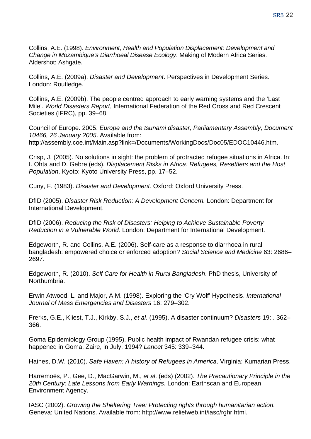Collins, A.E. (1998). *Environment, Health and Population Displacement: Development and Change in Mozambique's Diarrhoeal Disease Ecology*. Making of Modern Africa Series. Aldershot: Ashgate.

Collins, A.E. (2009a). *Disaster and Development*. Perspectives in Development Series. London: Routledge.

Collins, A.E. (2009b). The people centred approach to early warning systems and the 'Last Mile'. *World Disasters Report*, International Federation of the Red Cross and Red Crescent Societies (IFRC), pp. 39–68.

Council of Europe. 2005. *Europe and the tsunami disaster, Parliamentary Assembly, Document 10466, 26 January 2005*. Available from: [http://assembly.coe.int/Main.asp?link=/Documents/WorkingDocs/Doc05/EDOC10446.htm.](http://assembly.coe.int/Main.asp?link=/Documents/WorkingDocs/Doc05/EDOC10446.htm)

Crisp, J. (2005). No solutions in sight: the problem of protracted refugee situations in Africa. In: I. Ohta and D. Gebre (eds), *Displacement Risks in Africa: Refugees, Resettlers and the Host Population*. Kyoto: Kyoto University Press, pp. 17–52.

Cuny, F. (1983). *Disaster and Development.* Oxford: Oxford University Press.

DfID (2005). *Disaster Risk Reduction: A Development Concern.* London: Department for International Development.

DfID (2006). *Reducing the Risk of Disasters: Helping to Achieve Sustainable Poverty Reduction in a Vulnerable World.* London: Department for International Development.

Edgeworth, R. and Collins, A.E. (2006). Self-care as a response to diarrhoea in rural bangladesh: empowered choice or enforced adoption? *Social Science and Medicine* 63: 2686– 2697.

Edgeworth, R. (2010). *Self Care for Health in Rural Bangladesh*. PhD thesis, University of Northumbria.

Erwin Atwood, L. and Major, A.M. (1998). Exploring the 'Cry Wolf' Hypothesis. *International Journal of Mass Emergencies and Disasters* 16: 279–302.

Frerks, G.E., Kliest, T.J., Kirkby, S.J., *et al*. (1995). A disaster continuum? *Disasters* 19: . 362– 366.

Goma Epidemiology Group (1995). Public health impact of Rwandan refugee crisis: what happened in Goma, Zaire, in July, 1994? *Lancet* 345: 339–344.

Haines, D.W. (2010). *Safe Haven: A history of Refugees in America*. Virginia: Kumarian Press.

Harremoës, P., Gee, D., MacGarwin, M., *et al*. (eds) (2002). *The Precautionary Principle in the 20th Century: Late Lessons from Early Warnings*. London: Earthscan and European Environment Agency.

IASC (2002). *Growing the Sheltering Tree: Protecting rights through humanitarian action.* Geneva: United Nations. Available from: http:/[/www.reliefweb.int/iasc/rghr.html.](http://www.reliefweb.int/iasc/rghr.html)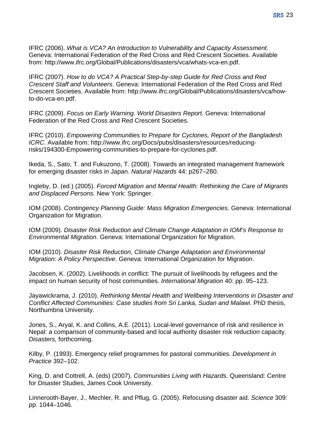IFRC (2006). *What is VCA? An Introduction to Vulnerability and Capacity Assessment.* Geneva: International Federation of the Red Cross and Red Crescent Societies. Available from: <http://www.ifrc.org/Global/Publications/disasters/vca/whats-vca-en.pdf>.

IFRC (2007). *How to do VCA? A Practical Step-by-step Guide for Red Cross and Red Crescent Staff and Volunteers*. Geneva: International Federation of the Red Cross and Red Crescent Societies. Available from: [http://www.ifrc.org/Global/Publications/disasters/vca/how](http://www.ifrc.org/Global/Publications/disasters/vca/how-to-do-vca-en.pdf)[to-do-vca-en.pdf.](http://www.ifrc.org/Global/Publications/disasters/vca/how-to-do-vca-en.pdf)

IFRC (2009). *Focus on Early Warning*. *World Disasters Report*. Geneva: International Federation of the Red Cross and Red Crescent Societies.

IFRC (2010). *Empowering Communities to Prepare for Cyclones, Report of the Bangladesh ICRC*. Available from: [http://www.ifrc.org/Docs/pubs/disasters/resources/reducing](http://www.ifrc.org/Docs/pubs/disasters/resources/reducing-risks/194300-Empowering-communities-to-prepare-for-cyclones.pdf)[risks/194300-Empowering-communities-to-prepare-for-cyclones.pdf](http://www.ifrc.org/Docs/pubs/disasters/resources/reducing-risks/194300-Empowering-communities-to-prepare-for-cyclones.pdf).

Ikeda, S., Sato, T. and Fukuzono, T. (2008). Towards an integrated management framework for emerging disaster risks in Japan. *Natural Hazards* 44: p267–280.

Ingleby, D. (ed.) (2005). *Forced Migration and Mental Health: Rethinking the Care of Migrants and Displaced Persons.* New York: Springer.

IOM (2008). *Contingency Planning Guide: Mass Migration Emergencies*. Geneva: International Organization for Migration.

IOM (2009). *Disaster Risk Reduction and Climate Change Adaptation in IOM's Response to Environmental Migration*. Geneva: International Organization for Migration.

IOM (2010). *Disaster Risk Reduction, Climate Change Adaptation and Environmental Migration: A Policy Perspective*. Geneva: International Organization for Migration.

Jacobsen, K. (2002). Livelihoods in conflict: The pursuit of livelihoods by refugees and the impact on human security of host communities. *International Migration* 40: pp. 95–123.

Jayawickrama, J. (2010). *Rethinking Mental Health and Wellbeing Interventions in Disaster and Conflict Affected Communities: Case studies from Sri Lanka, Sudan and Malawi*. PhD thesis, Northumbria University.

Jones, S., Aryal, K. and Collins, A.E. (2011). Local-level governance of risk and resilience in Nepal: a comparison of community-based and local authority disaster risk reduction capacity. *Disasters,* forthcoming.

Kilby, P. (1993). Emergency relief programmes for pastoral communities. *Development in Practice* 392–102.

King, D. and Cottrell, A. (eds) (2007). *Communities Living with Hazards*. Queensland: Centre for Disaster Studies, James Cook University.

Linnerooth-Bayer, J., Mechler, R. and Pflug, G. (2005). Refocusing disaster aid. *Science* 309: pp. 1044–1046.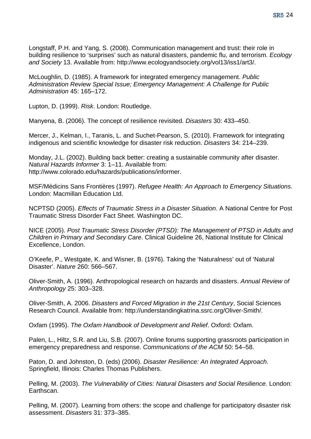Longstaff, P.H. and Yang, S. (2008). Communication management and trust: their role in building resilience to 'surprises' such as natural disasters, pandemic flu, and terrorism. *Ecology and Society* 13. Available from: http:/[/www.ecologyandsociety.org/vol13/iss1/art3/.](http://www.ecologyandsociety.org/vol13/iss1/art3/)

McLoughlin, D. (1985). A framework for integrated emergency management. *Public Administration Review Special Issue; Emergency Management: A Challenge for Public Administration* 45: 165–172.

Lupton, D. (1999). *Risk*. London: Routledge.

Manyena, B. (2006). The concept of resilience revisited. *Disasters* 30: 433–450.

Mercer, J., Kelman, I., Taranis, L. and Suchet-Pearson, S. (2010). Framework for integrating indigenous and scientific knowledge for disaster risk reduction. *Disasters* 34: 214–239.

Monday, J.L. (2002). Building back better: creating a sustainable community after disaster. *Natural Hazards Informer* 3: 1–11. Available from: http:/[/www.colorado.edu/hazards/publications/informer](http://www.colorado.edu/hazards/publications/informer).

MSF/Médicins Sans Frontières (1997). *Refugee Health: An Approach to Emergency Situations.* London: Macmillan Education Ltd.

NCPTSD (2005). *Effects of Traumatic Stress in a Disaster Situation*. A National Centre for Post Traumatic Stress Disorder Fact Sheet. Washington DC.

NICE (2005). *Post Traumatic Stress Disorder (PTSD): The Management of PTSD in Adults and Children in Primary and Secondary Care*. Clinical Guideline 26, National Institute for Clinical Excellence, London.

O'Keefe, P., Westgate, K. and Wisner, B. (1976). Taking the 'Naturalness' out of 'Natural Disaster'. *Nature* 260: 566–567.

Oliver-Smith, A. (1996). Anthropological research on hazards and disasters. *Annual Review of Anthropology* 25: 303–328.

Oliver-Smith, A. 2006. *Disasters and Forced Migration in the 21st Century*, Social Sciences Research Council. Available from: [http://understandingkatrina.ssrc.org/Oliver-Smith/.](http://understandingkatrina.ssrc.org/Oliver-Smith/)

Oxfam (1995). *The Oxfam Handbook of Development and Relief*. Oxford: Oxfam.

Palen, L., Hiltz, S.R. and Liu, S.B. (2007). Online forums supporting grassroots participation in emergency preparedness and response. *Communications of the ACM* 50: 54–58.

Paton, D. and Johnston, D. (eds) (2006). *Disaster Resilience: An Integrated Approach.* Springfield, Illinois: Charles Thomas Publishers.

Pelling, M. (2003). *The Vulnerability of Cities: Natural Disasters and Social Resilience.* London: Earthscan.

Pelling, M. (2007). Learning from others: the scope and challenge for participatory disaster risk assessment. *Disasters* 31: 373–385.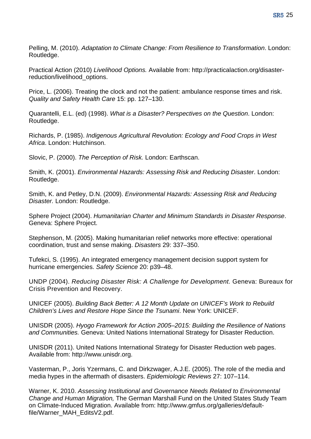Pelling, M. (2010). *Adaptation to Climate Change: From Resilience to Transformation*. London: Routledge.

Practical Action (2010) *Livelihood Options.* Available from: [http://practicalaction.org/disaster](http://practicalaction.org/disaster-reduction/livelihood_options)[reduction/livelihood\\_options](http://practicalaction.org/disaster-reduction/livelihood_options).

Price, L. (2006). Treating the clock and not the patient: ambulance response times and risk. *Quality and Safety Health Care* 15: pp. 127–130.

Quarantelli, E.L. (ed) (1998). *What is a Disaster? Perspectives on the Question*. London: Routledge.

Richards, P. (1985). *Indigenous Agricultural Revolution: Ecology and Food Crops in West Africa*. London: Hutchinson.

Slovic, P. (2000). *The Perception of Risk.* London: Earthscan.

Smith, K. (2001). *Environmental Hazards: Assessing Risk and Reducing Disaster*. London: Routledge.

Smith, K. and Petley, D.N. (2009). *Environmental Hazards: Assessing Risk and Reducing Disaster.* London: Routledge.

Sphere Project (2004). *Humanitarian Charter and Minimum Standards in Disaster Response*. Geneva: Sphere Project.

Stephenson, M. (2005). Making humanitarian relief networks more effective: operational coordination, trust and sense making. *Disasters* 29: 337–350.

Tufekci, S. (1995). An integrated emergency management decision support system for hurricane emergencies. *Safety Science* 20: p39–48.

UNDP (2004). *Reducing Disaster Risk: A Challenge for Development.* Geneva: Bureaux for Crisis Prevention and Recovery.

UNICEF (2005). *Building Back Better: A 12 Month Update on UNICEF's Work to Rebuild Children's Lives and Restore Hope Since the Tsunami*. New York: UNICEF.

UNISDR (2005). *Hyogo Framework for Action 2005*–*2015: Building the Resilience of Nations and Communities.* Geneva: United Nations International Strategy for Disaster Reduction.

UNISDR (2011). United Nations International Strategy for Disaster Reduction web pages. Available from: http://[www.unisdr.org.](http://www.unisdr.org/)

Vasterman, P., Joris Yzermans, C. and Dirkzwager, A.J.E. (2005). The role of the media and media hypes in the aftermath of disasters. *Epidemiologic Reviews* 27: 107–114.

Warner, K. 2010. *Assessing Institutional and Governance Needs Related to Environmental Change and Human Migration,* The German Marshall Fund on the United States Study Team on Climate-Induced Migration. Available from: [http://www.gmfus.org/galleries/default](http://www.gmfus.org/galleries/default-file/Warner_MAH_EditsV2.pdf)[file/Warner\\_MAH\\_EditsV2.pdf.](http://www.gmfus.org/galleries/default-file/Warner_MAH_EditsV2.pdf)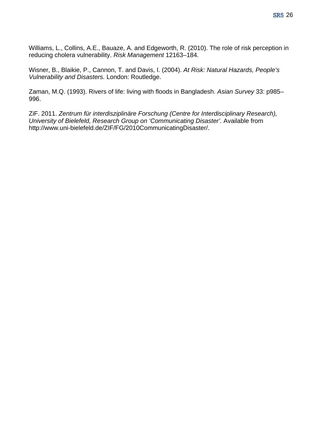Williams, L., Collins, A.E., Bauaze, A. and Edgeworth, R. (2010). The role of risk perception in reducing cholera vulnerability. *Risk Management* 12163–184.

Wisner, B., Blaikie, P., Cannon, T. and Davis, I. (2004). *At Risk: Natural Hazards, People's Vulnerability and Disasters.* London: Routledge.

Zaman, M.Q. (1993). Rivers of life: living with floods in Bangladesh. *Asian Survey* 33: p985– 996.

ZiF. 2011. *Zentrum für interdisziplinäre Forschung (Centre for Interdisciplinary Research), University of Bielefeld, Research Group on 'Communicating Disaster'.* Available from http:/[/www.uni-bielefeld.de/ZIF/FG/2010CommunicatingDisaster/](http://www.uni-bielefeld.de/ZIF/FG/2010CommunicatingDisaster/).